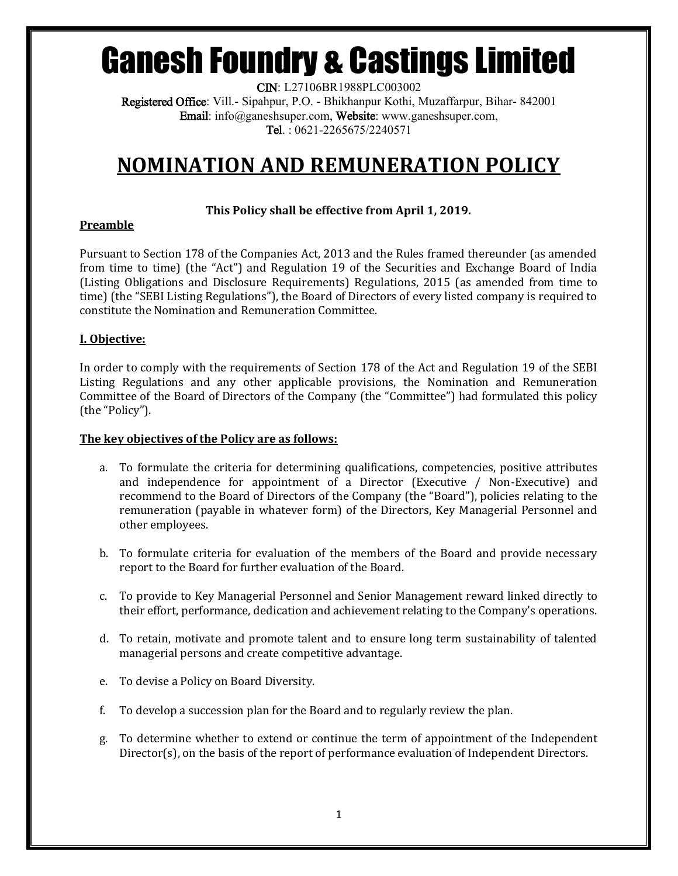CIN: L27106BR1988PLC003002 Registered Office: Vill.- Sipahpur, P.O. - Bhikhanpur Kothi, Muzaffarpur, Bihar- 842001 Email: info@ganeshsuper.com, Website: www.ganeshsuper.com, Tel. : 0621-2265675/2240571

# **NOMINATION AND REMUNERATION POLICY**

# **This Policy shall be effective from April 1, 2019.**

# **Preamble**

Pursuant to Section 178 of the Companies Act, 2013 and the Rules framed thereunder (as amended from time to time) (the "Act") and Regulation 19 of the Securities and Exchange Board of India (Listing Obligations and Disclosure Requirements) Regulations, 2015 (as amended from time to time) (the "SEBI Listing Regulations"), the Board of Directors of every listed company is required to constitute the Nomination and Remuneration Committee.

# **I. Objective:**

In order to comply with the requirements of Section 178 of the Act and Regulation 19 of the SEBI Listing Regulations and any other applicable provisions, the Nomination and Remuneration Committee of the Board of Directors of the Company (the "Committee") had formulated this policy (the "Policy").

#### **The key objectives of the Policy are as follows:**

- a. To formulate the criteria for determining qualifications, competencies, positive attributes and independence for appointment of a Director (Executive / Non-Executive) and recommend to the Board of Directors of the Company (the "Board"), policies relating to the remuneration (payable in whatever form) of the Directors, Key Managerial Personnel and other employees.
- b. To formulate criteria for evaluation of the members of the Board and provide necessary report to the Board for further evaluation of the Board.
- c. To provide to Key Managerial Personnel and Senior Management reward linked directly to their effort, performance, dedication and achievement relating to the Company's operations.
- d. To retain, motivate and promote talent and to ensure long term sustainability of talented managerial persons and create competitive advantage.
- e. To devise a Policy on Board Diversity.
- f. To develop a succession plan for the Board and to regularly review the plan.
- g. To determine whether to extend or continue the term of appointment of the Independent Director(s), on the basis of the report of performance evaluation of Independent Directors.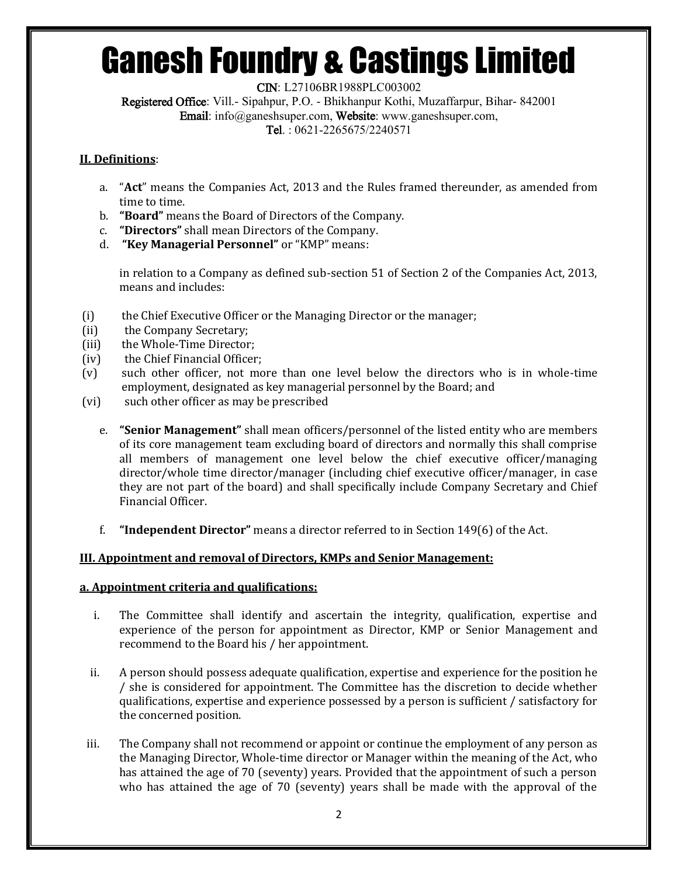CIN: L27106BR1988PLC003002

Registered Office: Vill.- Sipahpur, P.O. - Bhikhanpur Kothi, Muzaffarpur, Bihar- 842001 Email: info@ganeshsuper.com, Website: www.ganeshsuper.com, Tel. : 0621-2265675/2240571

### **II. Definitions**:

- a. "**Act**" means the Companies Act, 2013 and the Rules framed thereunder, as amended from time to time.
- b. **"Board"** means the Board of Directors of the Company.
- c. **"Directors"** shall mean Directors of the Company.
- d. **"Key Managerial Personnel"** or "KMP" means:

in relation to a Company as defined sub-section 51 of Section 2 of the Companies Act, 2013, means and includes:

- (i) the Chief Executive Officer or the Managing Director or the manager;
- (ii) the Company Secretary;
- (iii) the Whole-Time Director;
- (iv) the Chief Financial Officer;
- (v) such other officer, not more than one level below the directors who is in whole-time employment, designated as key managerial personnel by the Board; and
- (vi) such other officer as may be prescribed
	- e. **"Senior Management"** shall mean officers/personnel of the listed entity who are members of its core management team excluding board of directors and normally this shall comprise all members of management one level below the chief executive officer/managing director/whole time director/manager (including chief executive officer/manager, in case they are not part of the board) and shall specifically include Company Secretary and Chief Financial Officer.
	- f. **"Independent Director"** means a director referred to in Section 149(6) of the Act.

# **III. Appointment and removal of Directors, KMPs and Senior Management:**

#### **a. Appointment criteria and qualifications:**

- i. The Committee shall identify and ascertain the integrity, qualification, expertise and experience of the person for appointment as Director, KMP or Senior Management and recommend to the Board his / her appointment.
- ii. A person should possess adequate qualification, expertise and experience for the position he / she is considered for appointment. The Committee has the discretion to decide whether qualifications, expertise and experience possessed by a person is sufficient / satisfactory for the concerned position.
- iii. The Company shall not recommend or appoint or continue the employment of any person as the Managing Director, Whole-time director or Manager within the meaning of the Act, who has attained the age of 70 (seventy) years. Provided that the appointment of such a person who has attained the age of 70 (seventy) years shall be made with the approval of the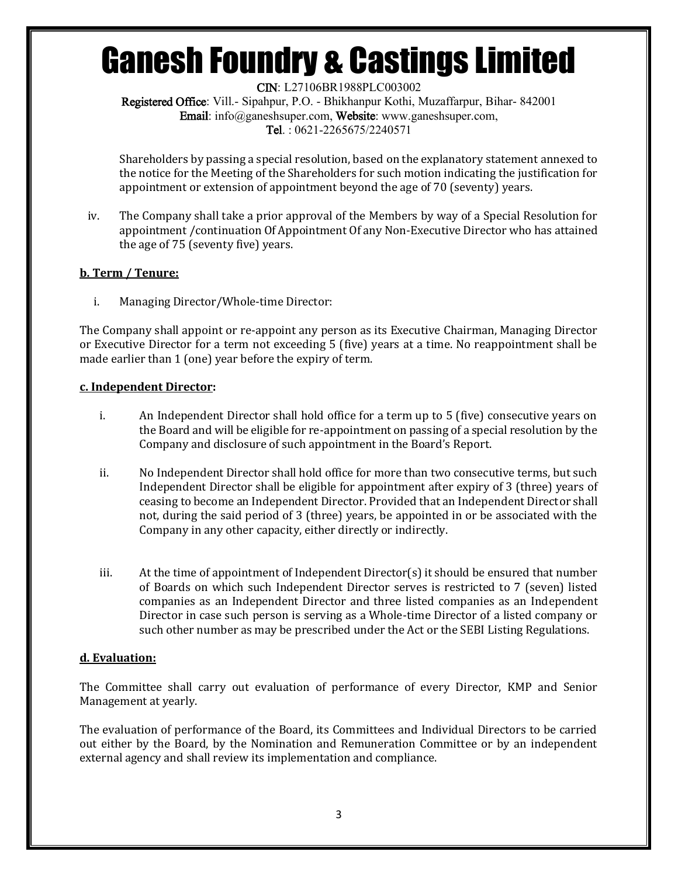CIN: L27106BR1988PLC003002 Registered Office: Vill.- Sipahpur, P.O. - Bhikhanpur Kothi, Muzaffarpur, Bihar- 842001 Email: info@ganeshsuper.com, Website: www.ganeshsuper.com, Tel. : 0621-2265675/2240571

Shareholders by passing a special resolution, based on the explanatory statement annexed to the notice for the Meeting of the Shareholders for such motion indicating the justification for appointment or extension of appointment beyond the age of 70 (seventy) years.

iv. The Company shall take a prior approval of the Members by way of a Special Resolution for appointment /continuation Of Appointment Of any Non-Executive Director who has attained the age of 75 (seventy five) years.

#### **b. Term / Tenure:**

i. Managing Director/Whole-time Director:

The Company shall appoint or re-appoint any person as its Executive Chairman, Managing Director or Executive Director for a term not exceeding 5 (five) years at a time. No reappointment shall be made earlier than 1 (one) year before the expiry of term.

#### **c. Independent Director:**

- i. An Independent Director shall hold office for a term up to 5 (five) consecutive years on the Board and will be eligible for re-appointment on passing of a special resolution by the Company and disclosure of such appointment in the Board's Report.
- ii. No Independent Director shall hold office for more than two consecutive terms, but such Independent Director shall be eligible for appointment after expiry of 3 (three) years of ceasing to become an Independent Director. Provided that an Independent Director shall not, during the said period of 3 (three) years, be appointed in or be associated with the Company in any other capacity, either directly or indirectly.
- iii. At the time of appointment of Independent Director(s) it should be ensured that number of Boards on which such Independent Director serves is restricted to 7 (seven) listed companies as an Independent Director and three listed companies as an Independent Director in case such person is serving as a Whole-time Director of a listed company or such other number as may be prescribed under the Act or the SEBI Listing Regulations.

#### **d. Evaluation:**

The Committee shall carry out evaluation of performance of every Director, KMP and Senior Management at yearly.

The evaluation of performance of the Board, its Committees and Individual Directors to be carried out either by the Board, by the Nomination and Remuneration Committee or by an independent external agency and shall review its implementation and compliance.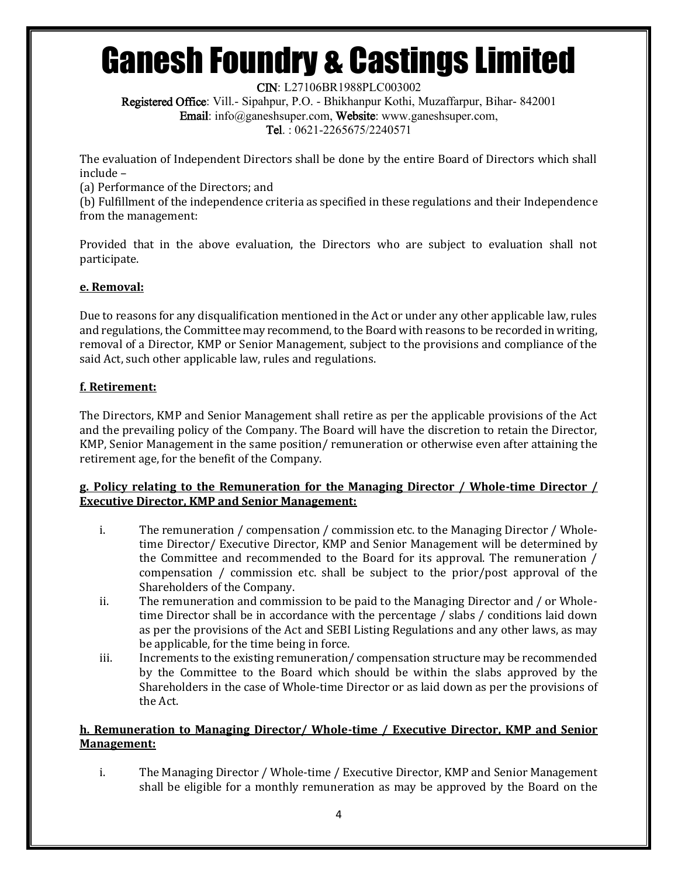CIN: L27106BR1988PLC003002

Registered Office: Vill.- Sipahpur, P.O. - Bhikhanpur Kothi, Muzaffarpur, Bihar- 842001 Email: info@ganeshsuper.com, Website: www.ganeshsuper.com, Tel. : 0621-2265675/2240571

The evaluation of Independent Directors shall be done by the entire Board of Directors which shall include –

(a) Performance of the Directors; and

(b) Fulfillment of the independence criteria as specified in these regulations and their Independence from the management:

Provided that in the above evaluation, the Directors who are subject to evaluation shall not participate.

# **e. Removal:**

Due to reasons for any disqualification mentioned in the Act or under any other applicable law, rules and regulations, the Committee may recommend, to the Board with reasons to be recorded in writing, removal of a Director, KMP or Senior Management, subject to the provisions and compliance of the said Act, such other applicable law, rules and regulations.

# **f. Retirement:**

The Directors, KMP and Senior Management shall retire as per the applicable provisions of the Act and the prevailing policy of the Company. The Board will have the discretion to retain the Director, KMP, Senior Management in the same position/ remuneration or otherwise even after attaining the retirement age, for the benefit of the Company.

#### **g. Policy relating to the Remuneration for the Managing Director / Whole-time Director / Executive Director, KMP and Senior Management:**

- i. The remuneration / compensation / commission etc. to the Managing Director / Wholetime Director/ Executive Director, KMP and Senior Management will be determined by the Committee and recommended to the Board for its approval. The remuneration / compensation / commission etc. shall be subject to the prior/post approval of the Shareholders of the Company.
- ii. The remuneration and commission to be paid to the Managing Director and / or Wholetime Director shall be in accordance with the percentage / slabs / conditions laid down as per the provisions of the Act and SEBI Listing Regulations and any other laws, as may be applicable, for the time being in force.
- iii. Increments to the existing remuneration/ compensation structure may be recommended by the Committee to the Board which should be within the slabs approved by the Shareholders in the case of Whole-time Director or as laid down as per the provisions of the Act.

# **h. Remuneration to Managing Director/ Whole-time / Executive Director, KMP and Senior Management:**

i. The Managing Director / Whole-time / Executive Director, KMP and Senior Management shall be eligible for a monthly remuneration as may be approved by the Board on the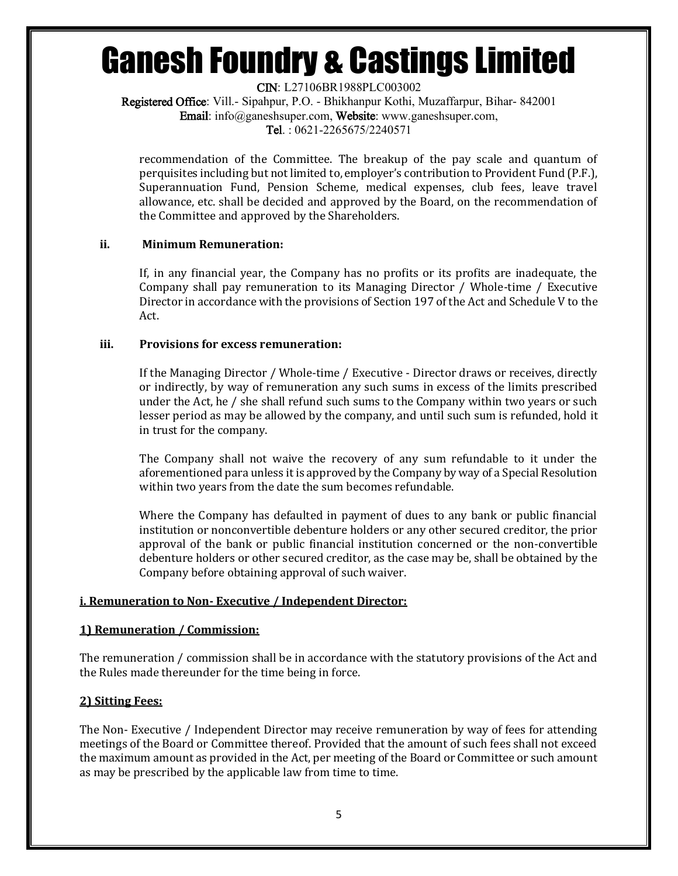CIN: L27106BR1988PLC003002

Registered Office: Vill.- Sipahpur, P.O. - Bhikhanpur Kothi, Muzaffarpur, Bihar- 842001 Email: info@ganeshsuper.com, Website: www.ganeshsuper.com,

Tel. : 0621-2265675/2240571

recommendation of the Committee. The breakup of the pay scale and quantum of perquisites including but not limited to, employer's contribution to Provident Fund (P.F.), Superannuation Fund, Pension Scheme, medical expenses, club fees, leave travel allowance, etc. shall be decided and approved by the Board, on the recommendation of the Committee and approved by the Shareholders.

#### **ii. Minimum Remuneration:**

If, in any financial year, the Company has no profits or its profits are inadequate, the Company shall pay remuneration to its Managing Director / Whole-time / Executive Director in accordance with the provisions of Section 197 of the Act and Schedule V to the Act.

#### **iii. Provisions for excess remuneration:**

If the Managing Director / Whole-time / Executive - Director draws or receives, directly or indirectly, by way of remuneration any such sums in excess of the limits prescribed under the Act, he / she shall refund such sums to the Company within two years or such lesser period as may be allowed by the company, and until such sum is refunded, hold it in trust for the company.

The Company shall not waive the recovery of any sum refundable to it under the aforementioned para unless it is approved by the Company by way of a Special Resolution within two years from the date the sum becomes refundable.

Where the Company has defaulted in payment of dues to any bank or public financial institution or nonconvertible debenture holders or any other secured creditor, the prior approval of the bank or public financial institution concerned or the non-convertible debenture holders or other secured creditor, as the case may be, shall be obtained by the Company before obtaining approval of such waiver.

#### **i. Remuneration to Non- Executive / Independent Director:**

#### **1) Remuneration / Commission:**

The remuneration / commission shall be in accordance with the statutory provisions of the Act and the Rules made thereunder for the time being in force.

#### **2) Sitting Fees:**

The Non- Executive / Independent Director may receive remuneration by way of fees for attending meetings of the Board or Committee thereof. Provided that the amount of such fees shall not exceed the maximum amount as provided in the Act, per meeting of the Board or Committee or such amount as may be prescribed by the applicable law from time to time.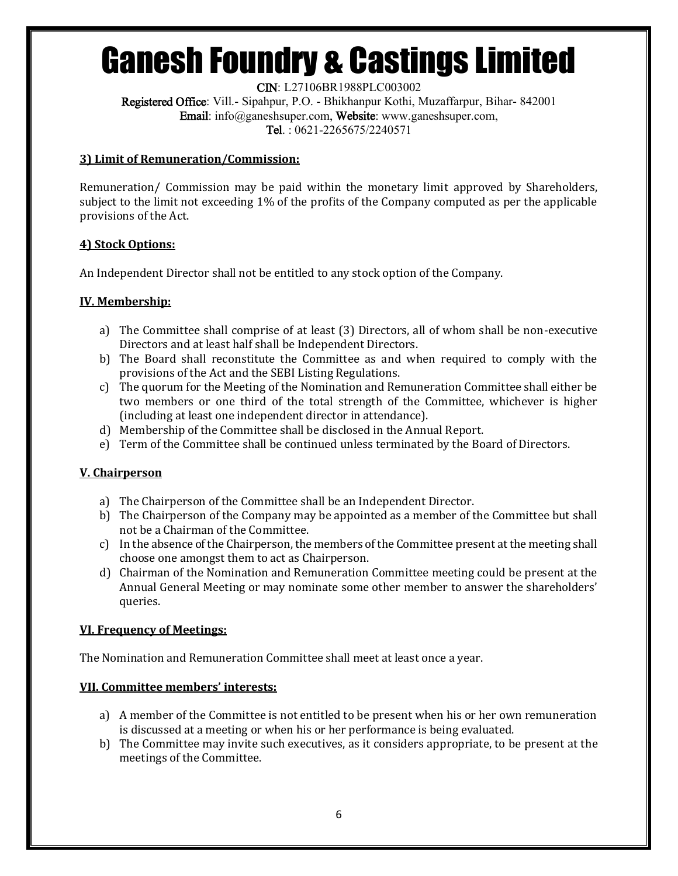CIN: L27106BR1988PLC003002 Registered Office: Vill.- Sipahpur, P.O. - Bhikhanpur Kothi, Muzaffarpur, Bihar- 842001 Email: info@ganeshsuper.com, Website: www.ganeshsuper.com, Tel. : 0621-2265675/2240571

### **3) Limit of Remuneration/Commission:**

Remuneration/ Commission may be paid within the monetary limit approved by Shareholders, subject to the limit not exceeding 1% of the profits of the Company computed as per the applicable provisions of the Act.

#### **4) Stock Options:**

An Independent Director shall not be entitled to any stock option of the Company.

# **IV. Membership:**

- a) The Committee shall comprise of at least (3) Directors, all of whom shall be non-executive Directors and at least half shall be Independent Directors.
- b) The Board shall reconstitute the Committee as and when required to comply with the provisions of the Act and the SEBI Listing Regulations.
- c) The quorum for the Meeting of the Nomination and Remuneration Committee shall either be two members or one third of the total strength of the Committee, whichever is higher (including at least one independent director in attendance).
- d) Membership of the Committee shall be disclosed in the Annual Report.
- e) Term of the Committee shall be continued unless terminated by the Board of Directors.

# **V. Chairperson**

- a) The Chairperson of the Committee shall be an Independent Director.
- b) The Chairperson of the Company may be appointed as a member of the Committee but shall not be a Chairman of the Committee.
- c) In the absence of the Chairperson, the members of the Committee present at the meeting shall choose one amongst them to act as Chairperson.
- d) Chairman of the Nomination and Remuneration Committee meeting could be present at the Annual General Meeting or may nominate some other member to answer the shareholders' queries.

#### **VI. Frequency of Meetings:**

The Nomination and Remuneration Committee shall meet at least once a year.

#### **VII. Committee members' interests:**

- a) A member of the Committee is not entitled to be present when his or her own remuneration is discussed at a meeting or when his or her performance is being evaluated.
- b) The Committee may invite such executives, as it considers appropriate, to be present at the meetings of the Committee.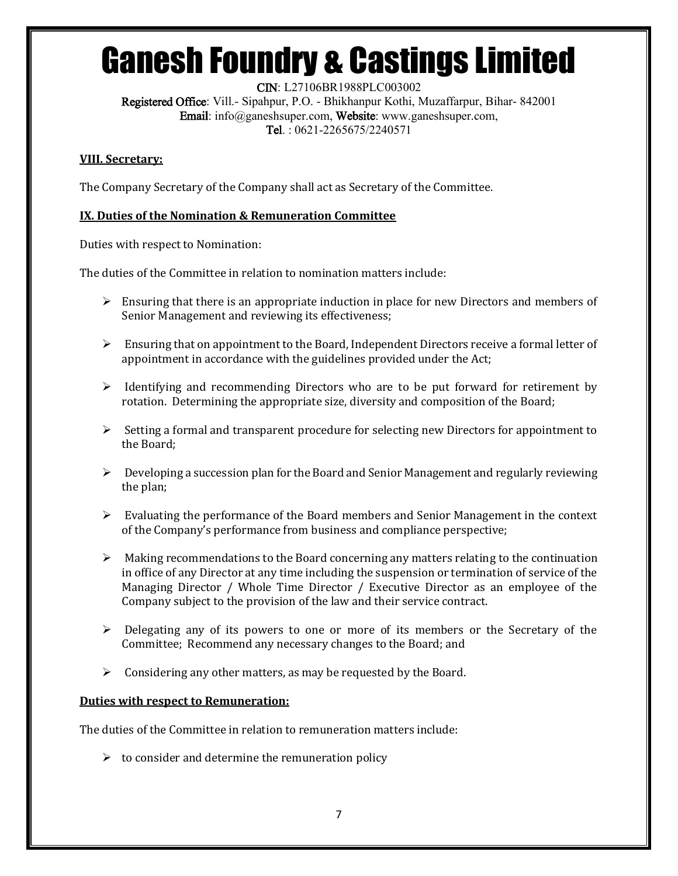CIN: L27106BR1988PLC003002 Registered Office: Vill.- Sipahpur, P.O. - Bhikhanpur Kothi, Muzaffarpur, Bihar- 842001 Email: info@ganeshsuper.com, Website: www.ganeshsuper.com,

Tel. : 0621-2265675/2240571

### **VIII. Secretary:**

The Company Secretary of the Company shall act as Secretary of the Committee.

# **IX. Duties of the Nomination & Remuneration Committee**

Duties with respect to Nomination:

The duties of the Committee in relation to nomination matters include:

- $\triangleright$  Ensuring that there is an appropriate induction in place for new Directors and members of Senior Management and reviewing its effectiveness;
- $\triangleright$  Ensuring that on appointment to the Board, Independent Directors receive a formal letter of appointment in accordance with the guidelines provided under the Act;
- $\triangleright$  Identifying and recommending Directors who are to be put forward for retirement by rotation. Determining the appropriate size, diversity and composition of the Board;
- $\triangleright$  Setting a formal and transparent procedure for selecting new Directors for appointment to the Board;
- $\triangleright$  Developing a succession plan for the Board and Senior Management and regularly reviewing the plan;
- $\triangleright$  Evaluating the performance of the Board members and Senior Management in the context of the Company's performance from business and compliance perspective;
- $\triangleright$  Making recommendations to the Board concerning any matters relating to the continuation in office of any Director at any time including the suspension or termination of service of the Managing Director / Whole Time Director / Executive Director as an employee of the Company subject to the provision of the law and their service contract.
- $\triangleright$  Delegating any of its powers to one or more of its members or the Secretary of the Committee; Recommend any necessary changes to the Board; and
- $\triangleright$  Considering any other matters, as may be requested by the Board.

#### **Duties with respect to Remuneration:**

The duties of the Committee in relation to remuneration matters include:

 $\triangleright$  to consider and determine the remuneration policy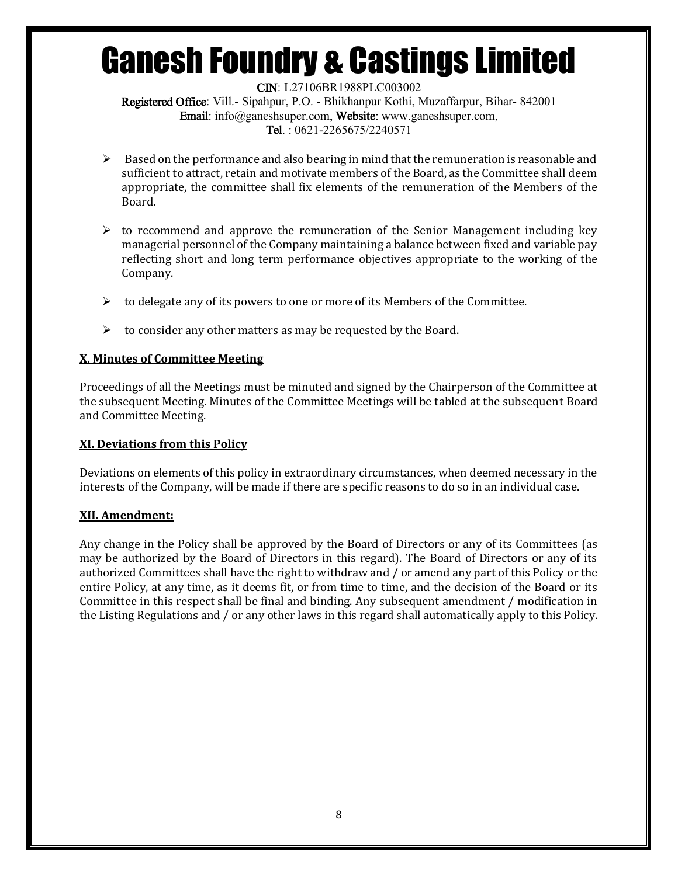CIN: L27106BR1988PLC003002 Registered Office: Vill.- Sipahpur, P.O. - Bhikhanpur Kothi, Muzaffarpur, Bihar- 842001 Email: info@ganeshsuper.com, Website: www.ganeshsuper.com, Tel. : 0621-2265675/2240571

- $\triangleright$  Based on the performance and also bearing in mind that the remuneration is reasonable and sufficient to attract, retain and motivate members of the Board, as the Committee shall deem appropriate, the committee shall fix elements of the remuneration of the Members of the Board.
- $\triangleright$  to recommend and approve the remuneration of the Senior Management including key managerial personnel of the Company maintaining a balance between fixed and variable pay reflecting short and long term performance objectives appropriate to the working of the Company.
- $\triangleright$  to delegate any of its powers to one or more of its Members of the Committee.
- $\triangleright$  to consider any other matters as may be requested by the Board.

#### **X. Minutes of Committee Meeting**

Proceedings of all the Meetings must be minuted and signed by the Chairperson of the Committee at the subsequent Meeting. Minutes of the Committee Meetings will be tabled at the subsequent Board and Committee Meeting.

#### **XI. Deviations from this Policy**

Deviations on elements of this policy in extraordinary circumstances, when deemed necessary in the interests of the Company, will be made if there are specific reasons to do so in an individual case.

#### **XII. Amendment:**

Any change in the Policy shall be approved by the Board of Directors or any of its Committees (as may be authorized by the Board of Directors in this regard). The Board of Directors or any of its authorized Committees shall have the right to withdraw and / or amend any part of this Policy or the entire Policy, at any time, as it deems fit, or from time to time, and the decision of the Board or its Committee in this respect shall be final and binding. Any subsequent amendment / modification in the Listing Regulations and / or any other laws in this regard shall automatically apply to this Policy.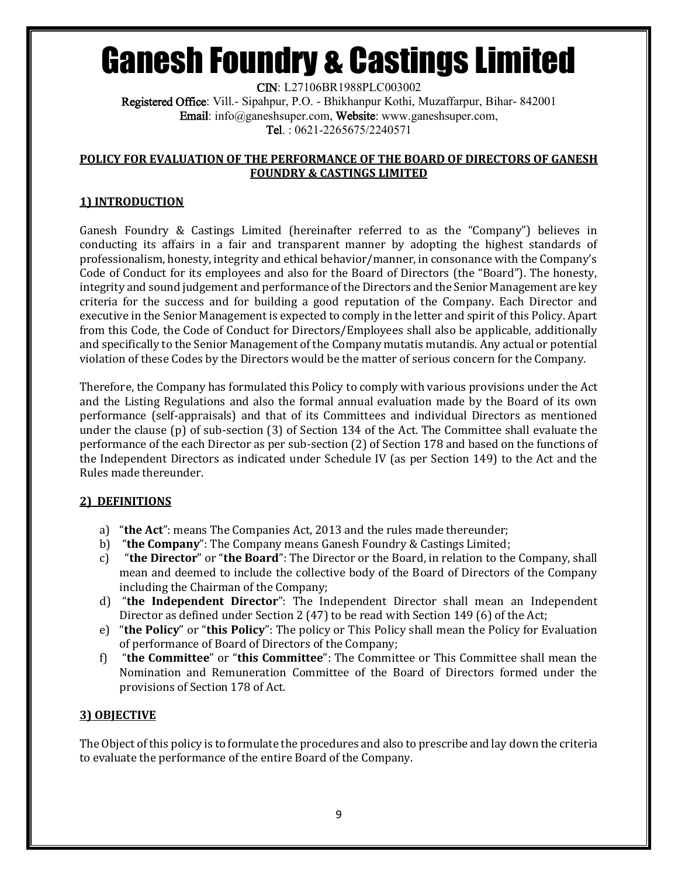CIN: L27106BR1988PLC003002 Registered Office: Vill.- Sipahpur, P.O. - Bhikhanpur Kothi, Muzaffarpur, Bihar- 842001 Email: info@ganeshsuper.com, Website: www.ganeshsuper.com, Tel. : 0621-2265675/2240571

#### **POLICY FOR EVALUATION OF THE PERFORMANCE OF THE BOARD OF DIRECTORS OF GANESH FOUNDRY & CASTINGS LIMITED**

### **1) INTRODUCTION**

Ganesh Foundry & Castings Limited (hereinafter referred to as the "Company") believes in conducting its affairs in a fair and transparent manner by adopting the highest standards of professionalism, honesty, integrity and ethical behavior/manner, in consonance with the Company's Code of Conduct for its employees and also for the Board of Directors (the "Board"). The honesty, integrity and sound judgement and performance of the Directors and the Senior Management are key criteria for the success and for building a good reputation of the Company. Each Director and executive in the Senior Management is expected to comply in the letter and spirit of this Policy. Apart from this Code, the Code of Conduct for Directors/Employees shall also be applicable, additionally and specifically to the Senior Management of the Company mutatis mutandis. Any actual or potential violation of these Codes by the Directors would be the matter of serious concern for the Company.

Therefore, the Company has formulated this Policy to comply with various provisions under the Act and the Listing Regulations and also the formal annual evaluation made by the Board of its own performance (self-appraisals) and that of its Committees and individual Directors as mentioned under the clause (p) of sub-section (3) of Section 134 of the Act. The Committee shall evaluate the performance of the each Director as per sub-section (2) of Section 178 and based on the functions of the Independent Directors as indicated under Schedule IV (as per Section 149) to the Act and the Rules made thereunder.

#### **2) DEFINITIONS**

- a) "**the Act**": means The Companies Act, 2013 and the rules made thereunder;
- b) "**the Company**": The Company means Ganesh Foundry & Castings Limited;
- c) "**the Director**" or "**the Board**": The Director or the Board, in relation to the Company, shall mean and deemed to include the collective body of the Board of Directors of the Company including the Chairman of the Company;
- d) "**the Independent Director**": The Independent Director shall mean an Independent Director as defined under Section 2 (47) to be read with Section 149 (6) of the Act;
- e) "**the Policy**" or "**this Policy**": The policy or This Policy shall mean the Policy for Evaluation of performance of Board of Directors of the Company;
- f) "**the Committee**" or "**this Committee**": The Committee or This Committee shall mean the Nomination and Remuneration Committee of the Board of Directors formed under the provisions of Section 178 of Act.

#### **3) OBJECTIVE**

The Object of this policy is to formulate the procedures and also to prescribe and lay down the criteria to evaluate the performance of the entire Board of the Company.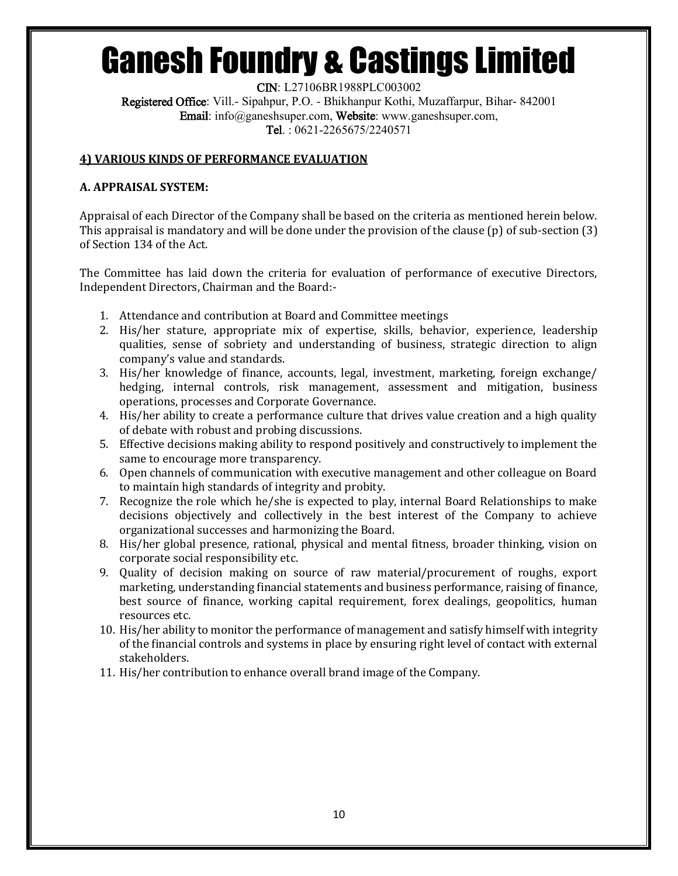CIN: L27106BR1988PLC003002 Registered Office: Vill.- Sipahpur, P.O. - Bhikhanpur Kothi, Muzaffarpur, Bihar- 842001 Email: info@ganeshsuper.com, Website: www.ganeshsuper.com, Tel. : 0621-2265675/2240571

#### **4) VARIOUS KINDS OF PERFORMANCE EVALUATION**

#### **A. APPRAISAL SYSTEM:**

Appraisal of each Director of the Company shall be based on the criteria as mentioned herein below. This appraisal is mandatory and will be done under the provision of the clause (p) of sub-section (3) of Section 134 of the Act.

The Committee has laid down the criteria for evaluation of performance of executive Directors, Independent Directors, Chairman and the Board:-

- 1. Attendance and contribution at Board and Committee meetings
- 2. His/her stature, appropriate mix of expertise, skills, behavior, experience, leadership qualities, sense of sobriety and understanding of business, strategic direction to align company's value and standards.
- 3. His/her knowledge of finance, accounts, legal, investment, marketing, foreign exchange/ hedging, internal controls, risk management, assessment and mitigation, business operations, processes and Corporate Governance.
- 4. His/her ability to create a performance culture that drives value creation and a high quality of debate with robust and probing discussions.
- 5. Effective decisions making ability to respond positively and constructively to implement the same to encourage more transparency.
- 6. Open channels of communication with executive management and other colleague on Board to maintain high standards of integrity and probity.
- 7. Recognize the role which he/she is expected to play, internal Board Relationships to make decisions objectively and collectively in the best interest of the Company to achieve organizational successes and harmonizing the Board.
- 8. His/her global presence, rational, physical and mental fitness, broader thinking, vision on corporate social responsibility etc.
- 9. Quality of decision making on source of raw material/procurement of roughs, export marketing, understanding financial statements and business performance, raising of finance, best source of finance, working capital requirement, forex dealings, geopolitics, human resources etc.
- 10. His/her ability to monitor the performance of management and satisfy himself with integrity of the financial controls and systems in place by ensuring right level of contact with external stakeholders.
- 11. His/her contribution to enhance overall brand image of the Company.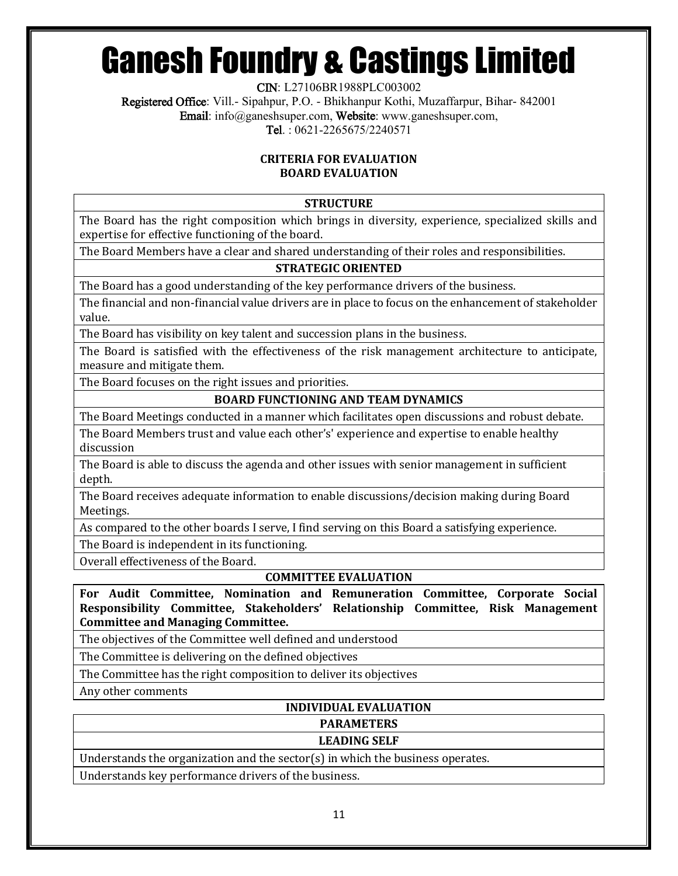CIN: L27106BR1988PLC003002

Registered Office: Vill.- Sipahpur, P.O. - Bhikhanpur Kothi, Muzaffarpur, Bihar- 842001 Email: info@ganeshsuper.com, Website: www.ganeshsuper.com,

Tel. : 0621-2265675/2240571

#### **CRITERIA FOR EVALUATION BOARD EVALUATION**

# **STRUCTURE**

The Board has the right composition which brings in diversity, experience, specialized skills and expertise for effective functioning of the board.

The Board Members have a clear and shared understanding of their roles and responsibilities.

# **STRATEGIC ORIENTED**

The Board has a good understanding of the key performance drivers of the business.

The financial and non-financial value drivers are in place to focus on the enhancement of stakeholder value.

The Board has visibility on key talent and succession plans in the business.

The Board is satisfied with the effectiveness of the risk management architecture to anticipate, measure and mitigate them.

The Board focuses on the right issues and priorities.

#### **BOARD FUNCTIONING AND TEAM DYNAMICS**

The Board Meetings conducted in a manner which facilitates open discussions and robust debate.

The Board Members trust and value each other's' experience and expertise to enable healthy discussion

The Board is able to discuss the agenda and other issues with senior management in sufficient depth.

The Board receives adequate information to enable discussions/decision making during Board Meetings.

As compared to the other boards I serve, I find serving on this Board a satisfying experience.

The Board is independent in its functioning.

Overall effectiveness of the Board.

# **COMMITTEE EVALUATION**

**For Audit Committee, Nomination and Remuneration Committee, Corporate Social Responsibility Committee, Stakeholders' Relationship Committee, Risk Management Committee and Managing Committee.**

The objectives of the Committee well defined and understood

The Committee is delivering on the defined objectives

The Committee has the right composition to deliver its objectives

Any other comments

# **INDIVIDUAL EVALUATION**

#### **PARAMETERS**

# **LEADING SELF**

Understands the organization and the sector(s) in which the business operates.

Understands key performance drivers of the business.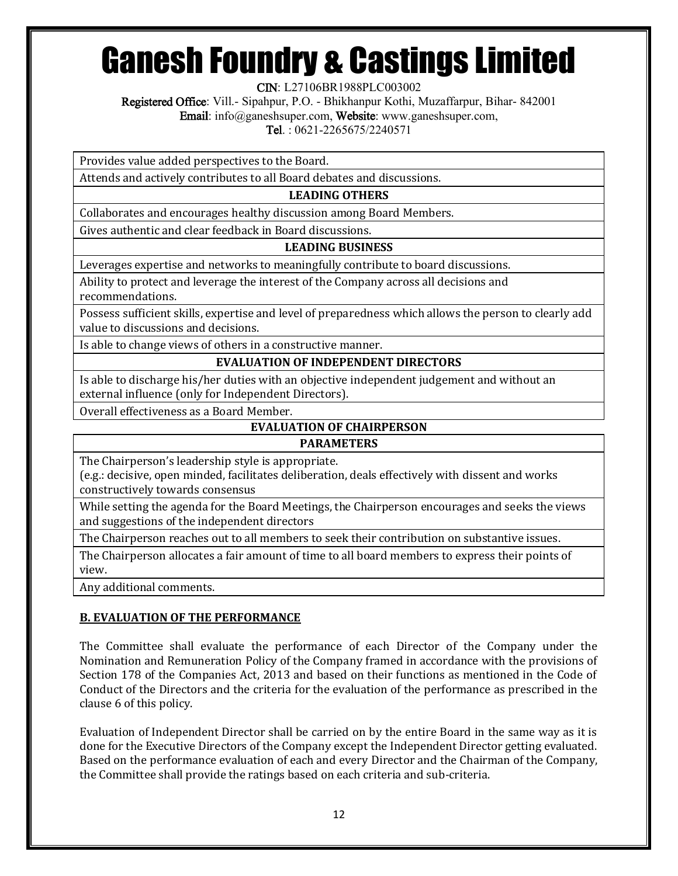CIN: L27106BR1988PLC003002

Registered Office: Vill.- Sipahpur, P.O. - Bhikhanpur Kothi, Muzaffarpur, Bihar- 842001

Email: info@ganeshsuper.com, Website: www.ganeshsuper.com,

Tel. : 0621-2265675/2240571

Provides value added perspectives to the Board.

Attends and actively contributes to all Board debates and discussions.

# **LEADING OTHERS**

Collaborates and encourages healthy discussion among Board Members.

Gives authentic and clear feedback in Board discussions.

#### **LEADING BUSINESS**

Leverages expertise and networks to meaningfully contribute to board discussions.

Ability to protect and leverage the interest of the Company across all decisions and recommendations.

Possess sufficient skills, expertise and level of preparedness which allows the person to clearly add value to discussions and decisions.

Is able to change views of others in a constructive manner.

# **EVALUATION OF INDEPENDENT DIRECTORS**

Is able to discharge his/her duties with an objective independent judgement and without an external influence (only for Independent Directors).

Overall effectiveness as a Board Member.

# **EVALUATION OF CHAIRPERSON**

#### **PARAMETERS**

The Chairperson's leadership style is appropriate.

(e.g.: decisive, open minded, facilitates deliberation, deals effectively with dissent and works constructively towards consensus

While setting the agenda for the Board Meetings, the Chairperson encourages and seeks the views and suggestions of the independent directors

The Chairperson reaches out to all members to seek their contribution on substantive issues.

The Chairperson allocates a fair amount of time to all board members to express their points of view.

Any additional comments.

# **B. EVALUATION OF THE PERFORMANCE**

The Committee shall evaluate the performance of each Director of the Company under the Nomination and Remuneration Policy of the Company framed in accordance with the provisions of Section 178 of the Companies Act, 2013 and based on their functions as mentioned in the Code of Conduct of the Directors and the criteria for the evaluation of the performance as prescribed in the clause 6 of this policy.

Evaluation of Independent Director shall be carried on by the entire Board in the same way as it is done for the Executive Directors of the Company except the Independent Director getting evaluated. Based on the performance evaluation of each and every Director and the Chairman of the Company, the Committee shall provide the ratings based on each criteria and sub-criteria.